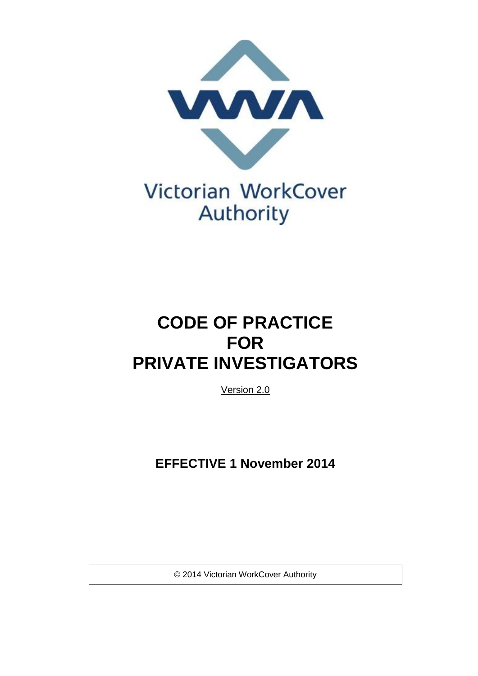

# **CODE OF PRACTICE FOR PRIVATE INVESTIGATORS**

Version 2.0

**EFFECTIVE 1 November 2014** 

© 2014 Victorian WorkCover Authority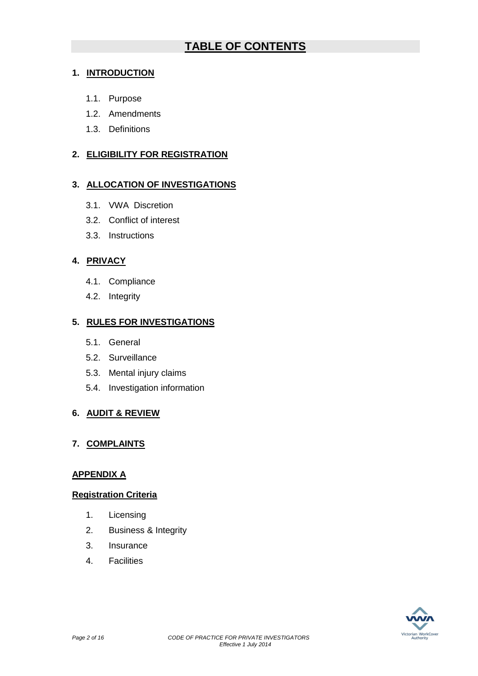# **TABLE OF CONTENTS**

# **1. INTRODUCTION**

- 1.1. Purpose
- 1.2. [Amendments](#page-2-0)
- 1.3. [Definitions](#page-2-1)

# **2. ELIGIBILITY FOR REGISTRATION**

## **3. ALLOCATION OF INVESTIGATIONS**

- 3.1. VWA [Discretion](#page-4-0)
- 3.2. Conflict of interest
- 3.3. [Instructions](#page-5-0)

# **4. PRIVACY**

- 4.1. Compliance
- 4.2. [Integrity](#page-6-0)

# **5. RULES FOR INVESTIGATIONS**

- 5.1. General
- 5.2. Surveillance
- 5.3. Mental injury claims
- 5.4. Investigation information

# **6. AUDIT & REVIEW**

# **7. COMPLAINTS**

## **APPENDIX A**

## **Registration Criteria**

- 1. Licensing
- 2. Business & Integrity
- 3. Insurance
- 4. Facilities

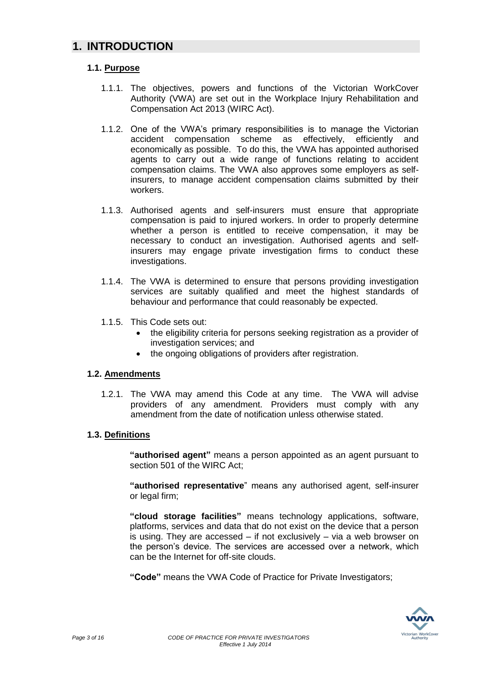# **1. INTRODUCTION**

## **1.1. Purpose**

- 1.1.1. The objectives, powers and functions of the Victorian WorkCover Authority (VWA) are set out in the Workplace Injury Rehabilitation and Compensation Act 2013 (WIRC Act).
- 1.1.2. One of the VWA's primary responsibilities is to manage the Victorian accident compensation scheme as effectively, efficiently and economically as possible. To do this, the VWA has appointed authorised agents to carry out a wide range of functions relating to accident compensation claims. The VWA also approves some employers as selfinsurers, to manage accident compensation claims submitted by their workers.
- 1.1.3. Authorised agents and self-insurers must ensure that appropriate compensation is paid to injured workers. In order to properly determine whether a person is entitled to receive compensation, it may be necessary to conduct an investigation. Authorised agents and selfinsurers may engage private investigation firms to conduct these investigations.
- 1.1.4. The VWA is determined to ensure that persons providing investigation services are suitably qualified and meet the highest standards of behaviour and performance that could reasonably be expected.
- 1.1.5. This Code sets out:
	- the eligibility criteria for persons seeking registration as a provider of investigation services; and
	- the ongoing obligations of providers after registration.

## <span id="page-2-0"></span>**1.2. Amendments**

1.2.1. The VWA may amend this Code at any time. The VWA will advise providers of any amendment. Providers must comply with any amendment from the date of notification unless otherwise stated.

## <span id="page-2-1"></span>**1.3. Definitions**

**"authorised agent"** means a person appointed as an agent pursuant to section 501 of the WIRC Act;

**"authorised representative**" means any authorised agent, self-insurer or legal firm;

**"cloud storage facilities"** means technology applications, software, platforms, services and data that do not exist on the device that a person is using. They are accessed – if not exclusively – via a web browser on the person's device. The services are accessed over a network, which can be the Internet for off-site clouds.

**"Code"** means the VWA Code of Practice for Private Investigators;

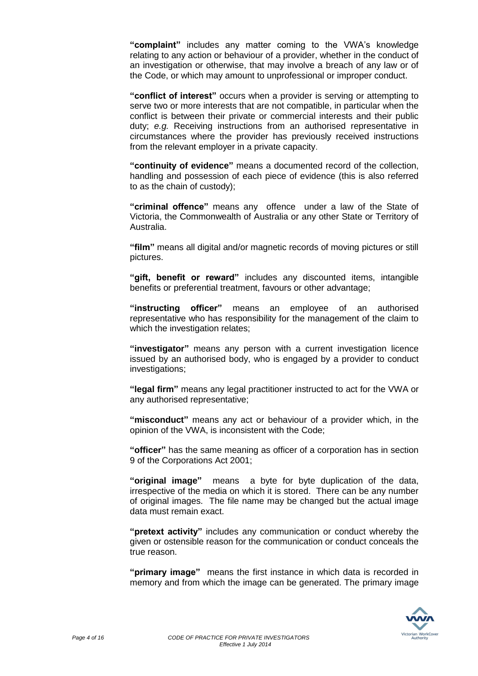**"complaint"** includes any matter coming to the VWA's knowledge relating to any action or behaviour of a provider, whether in the conduct of an investigation or otherwise, that may involve a breach of any law or of the Code, or which may amount to unprofessional or improper conduct.

**"conflict of interest"** occurs when a provider is serving or attempting to serve two or more interests that are not compatible, in particular when the conflict is between their private or commercial interests and their public duty; *e.g.* Receiving instructions from an authorised representative in circumstances where the provider has previously received instructions from the relevant employer in a private capacity.

**"continuity of evidence"** means a documented record of the collection, handling and possession of each piece of evidence (this is also referred to as the chain of custody);

**"criminal offence"** means any offence under a law of the State of Victoria, the Commonwealth of Australia or any other State or Territory of Australia.

**"film"** means all digital and/or magnetic records of moving pictures or still pictures.

**"gift, benefit or reward"** includes any discounted items, intangible benefits or preferential treatment, favours or other advantage;

**"instructing officer"** means an employee of an authorised representative who has responsibility for the management of the claim to which the investigation relates;

**"investigator"** means any person with a current investigation licence issued by an authorised body, who is engaged by a provider to conduct investigations;

**"legal firm"** means any legal practitioner instructed to act for the VWA or any authorised representative;

**"misconduct"** means any act or behaviour of a provider which, in the opinion of the VWA, is inconsistent with the Code;

**"officer"** has the same meaning as officer of a corporation has in section 9 of the Corporations Act 2001;

**"original image"** means a byte for byte duplication of the data, irrespective of the media on which it is stored. There can be any number of original images. The file name may be changed but the actual image data must remain exact.

**"pretext activity"** includes any communication or conduct whereby the given or ostensible reason for the communication or conduct conceals the true reason.

**"primary image"** means the first instance in which data is recorded in memory and from which the image can be generated. The primary image

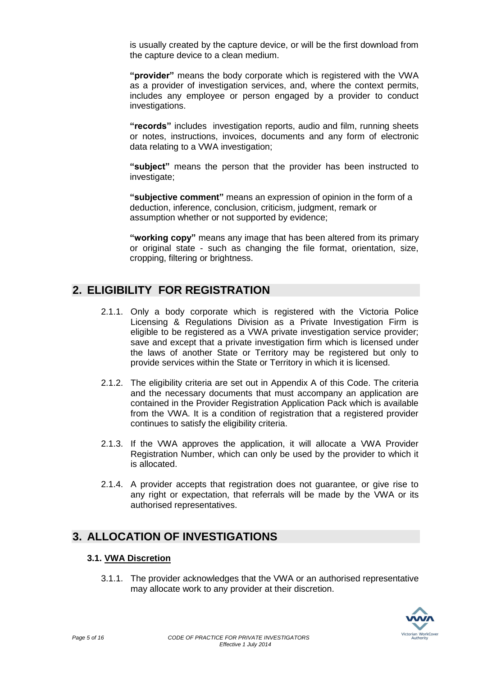is usually created by the capture device, or will be the first download from the capture device to a clean medium.

**"provider"** means the body corporate which is registered with the VWA as a provider of investigation services, and, where the context permits, includes any employee or person engaged by a provider to conduct investigations.

**"records"** includes investigation reports, audio and film, running sheets or notes, instructions, invoices, documents and any form of electronic data relating to a VWA investigation;

**"subject"** means the person that the provider has been instructed to investigate;

**"subjective comment"** means an expression of opinion in the form of a deduction, inference, conclusion, criticism, judgment, remark or assumption whether or not supported by evidence;

**"working copy"** means any image that has been altered from its primary or original state - such as changing the file format, orientation, size, cropping, filtering or brightness.

# **2. ELIGIBILITY FOR REGISTRATION**

- 2.1.1. Only a body corporate which is registered with the Victoria Police Licensing & Regulations Division as a Private Investigation Firm is eligible to be registered as a VWA private investigation service provider; save and except that a private investigation firm which is licensed under the laws of another State or Territory may be registered but only to provide services within the State or Territory in which it is licensed.
- 2.1.2. The eligibility criteria are set out in Appendix A of this Code. The criteria and the necessary documents that must accompany an application are contained in the Provider Registration Application Pack which is available from the VWA. It is a condition of registration that a registered provider continues to satisfy the eligibility criteria.
- 2.1.3. If the VWA approves the application, it will allocate a VWA Provider Registration Number, which can only be used by the provider to which it is allocated.
- 2.1.4. A provider accepts that registration does not guarantee, or give rise to any right or expectation, that referrals will be made by the VWA or its authorised representatives.

# **3. ALLOCATION OF INVESTIGATIONS**

## <span id="page-4-0"></span>**3.1. VWA Discretion**

3.1.1. The provider acknowledges that the VWA or an authorised representative may allocate work to any provider at their discretion.

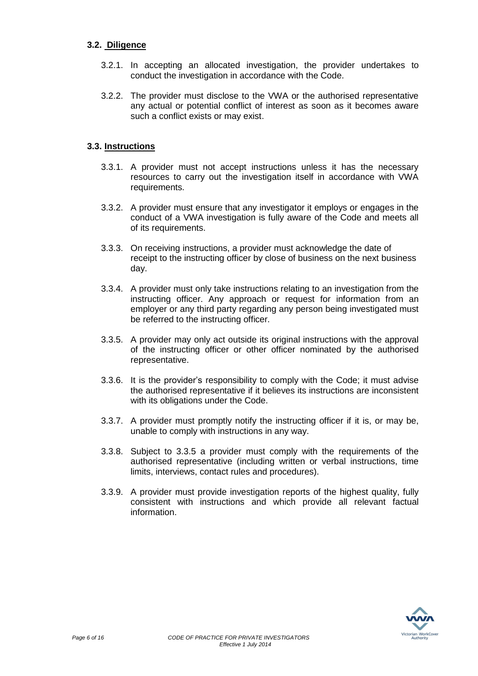## **3.2. Diligence**

- 3.2.1. In accepting an allocated investigation, the provider undertakes to conduct the investigation in accordance with the Code.
- 3.2.2. The provider must disclose to the VWA or the authorised representative any actual or potential conflict of interest as soon as it becomes aware such a conflict exists or may exist.

## <span id="page-5-0"></span>**3.3. Instructions**

- 3.3.1. A provider must not accept instructions unless it has the necessary resources to carry out the investigation itself in accordance with VWA requirements.
- 3.3.2. A provider must ensure that any investigator it employs or engages in the conduct of a VWA investigation is fully aware of the Code and meets all of its requirements.
- 3.3.3. On receiving instructions, a provider must acknowledge the date of receipt to the instructing officer by close of business on the next business day.
- 3.3.4. A provider must only take instructions relating to an investigation from the instructing officer. Any approach or request for information from an employer or any third party regarding any person being investigated must be referred to the instructing officer.
- 3.3.5. A provider may only act outside its original instructions with the approval of the instructing officer or other officer nominated by the authorised representative.
- 3.3.6. It is the provider's responsibility to comply with the Code; it must advise the authorised representative if it believes its instructions are inconsistent with its obligations under the Code.
- 3.3.7. A provider must promptly notify the instructing officer if it is, or may be, unable to comply with instructions in any way.
- 3.3.8. Subject to 3.3.5 a provider must comply with the requirements of the authorised representative (including written or verbal instructions, time limits, interviews, contact rules and procedures).
- 3.3.9. A provider must provide investigation reports of the highest quality, fully consistent with instructions and which provide all relevant factual information.

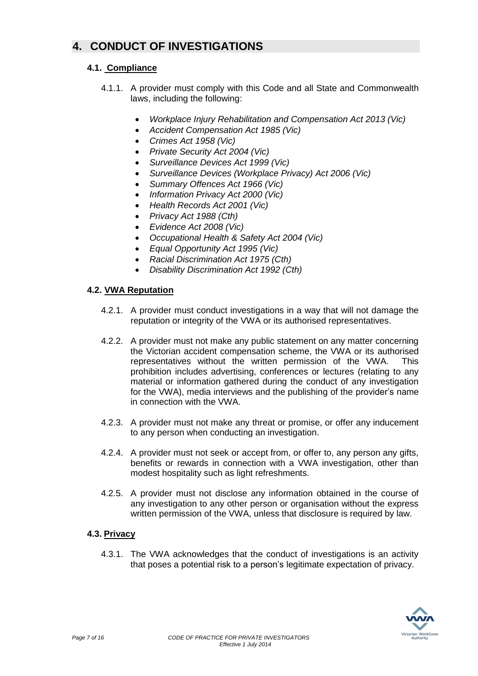# **4. CONDUCT OF INVESTIGATIONS**

# **4.1. Compliance**

- 4.1.1. A provider must comply with this Code and all State and Commonwealth laws, including the following:
	- *Workplace Injury Rehabilitation and Compensation Act 2013 (Vic)*
	- *Accident Compensation Act 1985 (Vic)*
	- *Crimes Act 1958 (Vic)*
	- *Private Security Act 2004 (Vic)*
	- *Surveillance Devices Act 1999 (Vic)*
	- *Surveillance Devices (Workplace Privacy) Act 2006 (Vic)*
	- *Summary Offences Act 1966 (Vic)*
	- *Information Privacy Act 2000 (Vic)*
	- *Health Records Act 2001 (Vic)*
	- *Privacy Act 1988 (Cth)*
	- *Evidence Act 2008 (Vic)*
	- *Occupational Health & Safety Act 2004 (Vic)*
	- *Equal Opportunity Act 1995 (Vic)*
	- *Racial Discrimination Act 1975 (Cth)*
	- *Disability Discrimination Act 1992 (Cth)*

## <span id="page-6-0"></span>**4.2. VWA Reputation**

- 4.2.1. A provider must conduct investigations in a way that will not damage the reputation or integrity of the VWA or its authorised representatives.
- 4.2.2. A provider must not make any public statement on any matter concerning the Victorian accident compensation scheme, the VWA or its authorised representatives without the written permission of the VWA. This prohibition includes advertising, conferences or lectures (relating to any material or information gathered during the conduct of any investigation for the VWA), media interviews and the publishing of the provider's name in connection with the VWA.
- 4.2.3. A provider must not make any threat or promise, or offer any inducement to any person when conducting an investigation.
- 4.2.4. A provider must not seek or accept from, or offer to, any person any gifts, benefits or rewards in connection with a VWA investigation, other than modest hospitality such as light refreshments.
- 4.2.5. A provider must not disclose any information obtained in the course of any investigation to any other person or organisation without the express written permission of the VWA, unless that disclosure is required by law.

## **4.3. Privacy**

4.3.1. The VWA acknowledges that the conduct of investigations is an activity that poses a potential risk to a person's legitimate expectation of privacy.

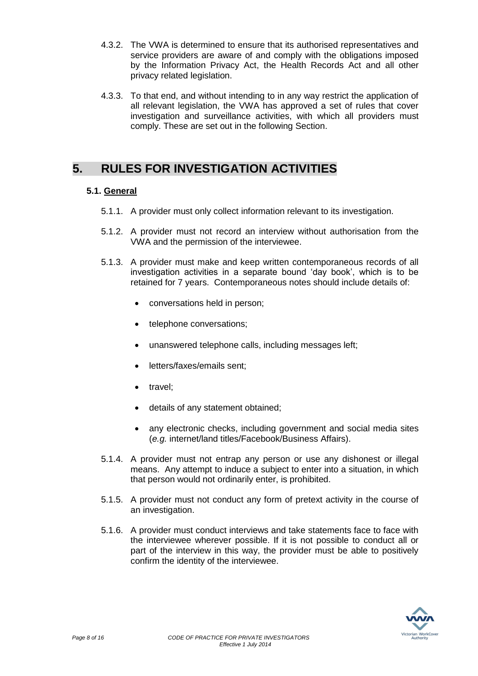- 4.3.2. The VWA is determined to ensure that its authorised representatives and service providers are aware of and comply with the obligations imposed by the Information Privacy Act, the Health Records Act and all other privacy related legislation.
- 4.3.3. To that end, and without intending to in any way restrict the application of all relevant legislation, the VWA has approved a set of rules that cover investigation and surveillance activities, with which all providers must comply. These are set out in the following Section.

# **5. RULES FOR INVESTIGATION ACTIVITIES**

# **5.1. General**

- 5.1.1. A provider must only collect information relevant to its investigation.
- 5.1.2. A provider must not record an interview without authorisation from the VWA and the permission of the interviewee.
- 5.1.3. A provider must make and keep written contemporaneous records of all investigation activities in a separate bound 'day book', which is to be retained for 7 years. Contemporaneous notes should include details of:
	- conversations held in person;
	- telephone conversations:
	- unanswered telephone calls, including messages left;
	- letters/faxes/emails sent:
	- travel:
	- details of any statement obtained;
	- any electronic checks, including government and social media sites (*e.g.* internet/land titles/Facebook/Business Affairs).
- 5.1.4. A provider must not entrap any person or use any dishonest or illegal means. Any attempt to induce a subject to enter into a situation, in which that person would not ordinarily enter, is prohibited.
- 5.1.5. A provider must not conduct any form of pretext activity in the course of an investigation.
- 5.1.6. A provider must conduct interviews and take statements face to face with the interviewee wherever possible. If it is not possible to conduct all or part of the interview in this way, the provider must be able to positively confirm the identity of the interviewee.

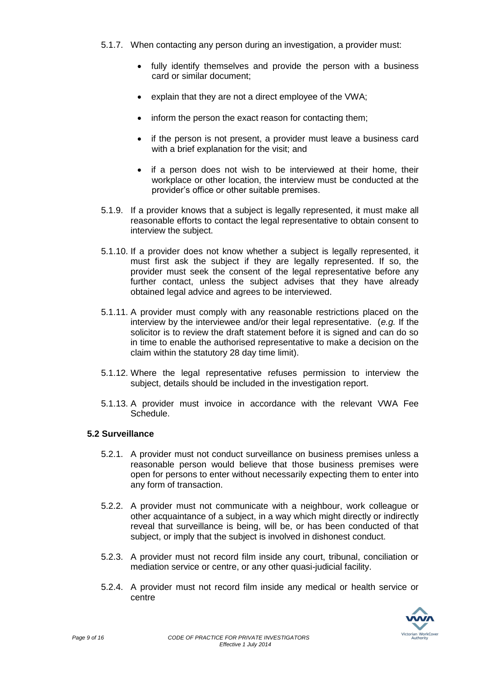- 5.1.7. When contacting any person during an investigation, a provider must:
	- fully identify themselves and provide the person with a business card or similar document;
	- explain that they are not a direct employee of the VWA;
	- inform the person the exact reason for contacting them;
	- if the person is not present, a provider must leave a business card with a brief explanation for the visit; and
	- if a person does not wish to be interviewed at their home, their workplace or other location, the interview must be conducted at the provider's office or other suitable premises.
- 5.1.9. If a provider knows that a subject is legally represented, it must make all reasonable efforts to contact the legal representative to obtain consent to interview the subject.
- 5.1.10. If a provider does not know whether a subject is legally represented, it must first ask the subject if they are legally represented. If so, the provider must seek the consent of the legal representative before any further contact, unless the subject advises that they have already obtained legal advice and agrees to be interviewed.
- 5.1.11. A provider must comply with any reasonable restrictions placed on the interview by the interviewee and/or their legal representative. (*e.g.* If the solicitor is to review the draft statement before it is signed and can do so in time to enable the authorised representative to make a decision on the claim within the statutory 28 day time limit).
- 5.1.12. Where the legal representative refuses permission to interview the subject, details should be included in the investigation report.
- 5.1.13. A provider must invoice in accordance with the relevant VWA Fee Schedule.

#### **5.2 Surveillance**

- 5.2.1. A provider must not conduct surveillance on business premises unless a reasonable person would believe that those business premises were open for persons to enter without necessarily expecting them to enter into any form of transaction.
- 5.2.2. A provider must not communicate with a neighbour, work colleague or other acquaintance of a subject, in a way which might directly or indirectly reveal that surveillance is being, will be, or has been conducted of that subject, or imply that the subject is involved in dishonest conduct.
- 5.2.3. A provider must not record film inside any court, tribunal, conciliation or mediation service or centre, or any other quasi-judicial facility.
- 5.2.4. A provider must not record film inside any medical or health service or centre

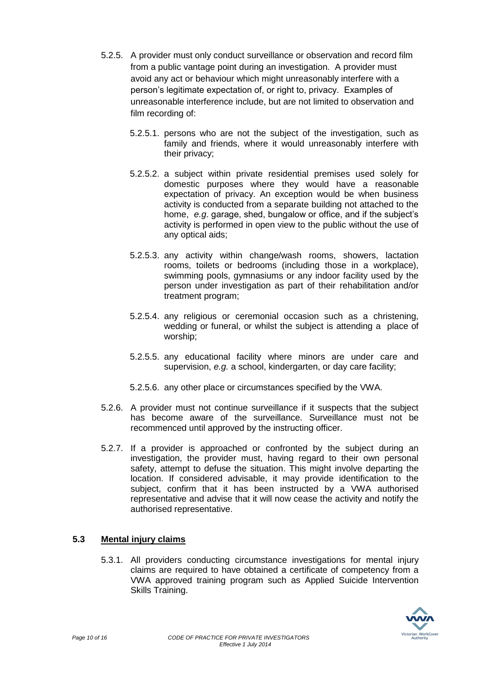- 5.2.5. A provider must only conduct surveillance or observation and record film from a public vantage point during an investigation. A provider must avoid any act or behaviour which might unreasonably interfere with a person's legitimate expectation of, or right to, privacy. Examples of unreasonable interference include, but are not limited to observation and film recording of:
	- 5.2.5.1. persons who are not the subject of the investigation, such as family and friends, where it would unreasonably interfere with their privacy;
	- 5.2.5.2. a subject within private residential premises used solely for domestic purposes where they would have a reasonable expectation of privacy. An exception would be when business activity is conducted from a separate building not attached to the home, *e.g*. garage, shed, bungalow or office, and if the subject's activity is performed in open view to the public without the use of any optical aids;
	- 5.2.5.3. any activity within change/wash rooms, showers, lactation rooms, toilets or bedrooms (including those in a workplace), swimming pools, gymnasiums or any indoor facility used by the person under investigation as part of their rehabilitation and/or treatment program;
	- 5.2.5.4. any religious or ceremonial occasion such as a christening, wedding or funeral, or whilst the subject is attending a place of worship;
	- 5.2.5.5. any educational facility where minors are under care and supervision, *e.g.* a school, kindergarten, or day care facility;
	- 5.2.5.6. any other place or circumstances specified by the VWA.
- 5.2.6. A provider must not continue surveillance if it suspects that the subject has become aware of the surveillance. Surveillance must not be recommenced until approved by the instructing officer.
- 5.2.7. If a provider is approached or confronted by the subject during an investigation, the provider must, having regard to their own personal safety, attempt to defuse the situation. This might involve departing the location. If considered advisable, it may provide identification to the subject, confirm that it has been instructed by a VWA authorised representative and advise that it will now cease the activity and notify the authorised representative.

## **5.3 Mental injury claims**

5.3.1. All providers conducting circumstance investigations for mental injury claims are required to have obtained a certificate of competency from a VWA approved training program such as Applied Suicide Intervention Skills Training.

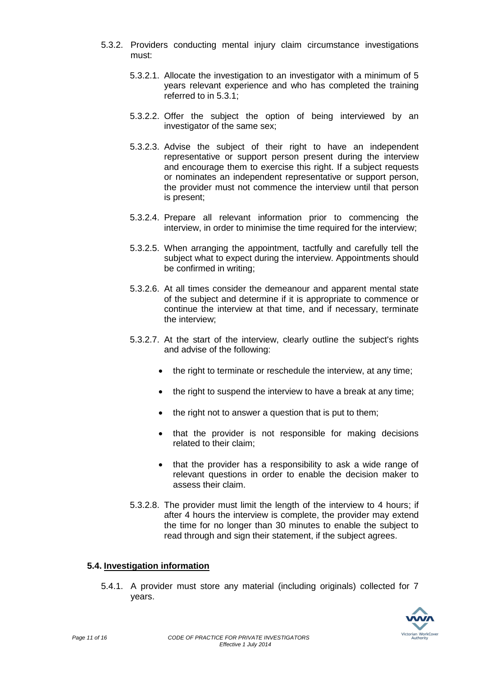- 5.3.2. Providers conducting mental injury claim circumstance investigations must:
	- 5.3.2.1. Allocate the investigation to an investigator with a minimum of 5 years relevant experience and who has completed the training referred to in 5.3.1;
	- 5.3.2.2. Offer the subject the option of being interviewed by an investigator of the same sex;
	- 5.3.2.3. Advise the subject of their right to have an independent representative or support person present during the interview and encourage them to exercise this right. If a subject requests or nominates an independent representative or support person, the provider must not commence the interview until that person is present;
	- 5.3.2.4. Prepare all relevant information prior to commencing the interview, in order to minimise the time required for the interview;
	- 5.3.2.5. When arranging the appointment, tactfully and carefully tell the subject what to expect during the interview. Appointments should be confirmed in writing;
	- 5.3.2.6. At all times consider the demeanour and apparent mental state of the subject and determine if it is appropriate to commence or continue the interview at that time, and if necessary, terminate the interview;
	- 5.3.2.7. At the start of the interview, clearly outline the subject's rights and advise of the following:
		- the right to terminate or reschedule the interview, at any time;
		- the right to suspend the interview to have a break at any time;
		- the right not to answer a question that is put to them:
		- that the provider is not responsible for making decisions related to their claim;
		- that the provider has a responsibility to ask a wide range of relevant questions in order to enable the decision maker to assess their claim.
	- 5.3.2.8. The provider must limit the length of the interview to 4 hours; if after 4 hours the interview is complete, the provider may extend the time for no longer than 30 minutes to enable the subject to read through and sign their statement, if the subject agrees.

#### **5.4. Investigation information**

5.4.1. A provider must store any material (including originals) collected for 7 years.

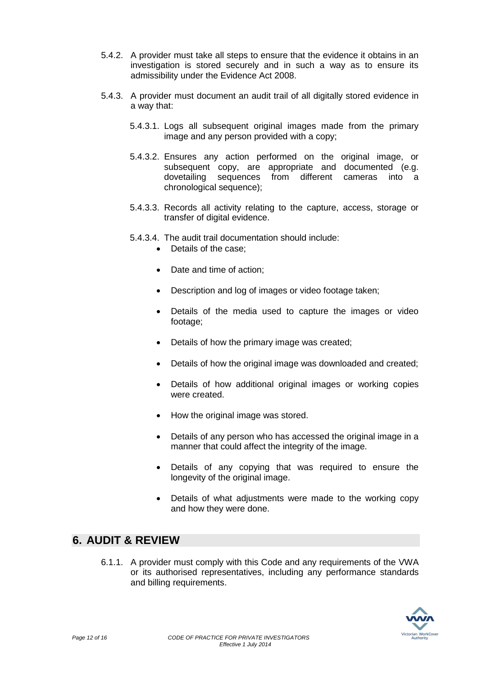- 5.4.2. A provider must take all steps to ensure that the evidence it obtains in an investigation is stored securely and in such a way as to ensure its admissibility under the Evidence Act 2008.
- 5.4.3. A provider must document an audit trail of all digitally stored evidence in a way that:
	- 5.4.3.1. Logs all subsequent original images made from the primary image and any person provided with a copy;
	- 5.4.3.2. Ensures any action performed on the original image, or subsequent copy, are appropriate and documented (e.g. dovetailing sequences from different cameras into a chronological sequence);
	- 5.4.3.3. Records all activity relating to the capture, access, storage or transfer of digital evidence.
	- 5.4.3.4. The audit trail documentation should include:
		- Details of the case:
		- Date and time of action;
		- Description and log of images or video footage taken;
		- Details of the media used to capture the images or video footage;
		- Details of how the primary image was created;
		- Details of how the original image was downloaded and created;
		- Details of how additional original images or working copies were created.
		- How the original image was stored.
		- Details of any person who has accessed the original image in a manner that could affect the integrity of the image.
		- Details of any copying that was required to ensure the longevity of the original image.
		- Details of what adjustments were made to the working copy and how they were done.

# **6. AUDIT & REVIEW**

6.1.1. A provider must comply with this Code and any requirements of the VWA or its authorised representatives, including any performance standards and billing requirements.

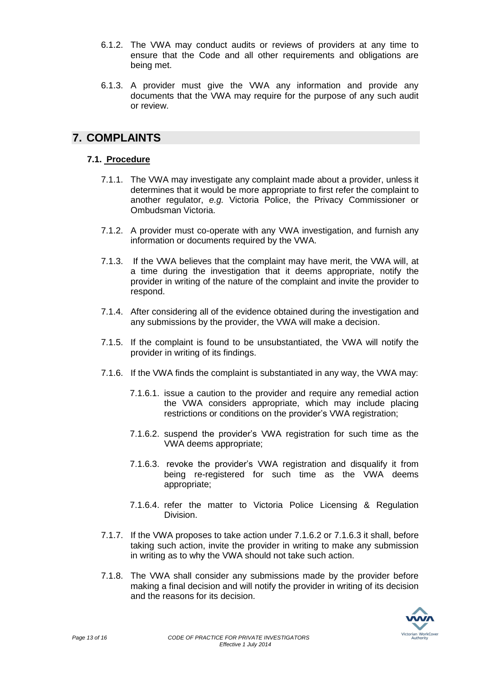- 6.1.2. The VWA may conduct audits or reviews of providers at any time to ensure that the Code and all other requirements and obligations are being met.
- 6.1.3. A provider must give the VWA any information and provide any documents that the VWA may require for the purpose of any such audit or review.

# **7. COMPLAINTS**

# **7.1. Procedure**

- 7.1.1. The VWA may investigate any complaint made about a provider, unless it determines that it would be more appropriate to first refer the complaint to another regulator, *e.g.* Victoria Police, the Privacy Commissioner or Ombudsman Victoria.
- 7.1.2. A provider must co-operate with any VWA investigation, and furnish any information or documents required by the VWA.
- 7.1.3. If the VWA believes that the complaint may have merit, the VWA will, at a time during the investigation that it deems appropriate, notify the provider in writing of the nature of the complaint and invite the provider to respond.
- 7.1.4. After considering all of the evidence obtained during the investigation and any submissions by the provider, the VWA will make a decision.
- 7.1.5. If the complaint is found to be unsubstantiated, the VWA will notify the provider in writing of its findings.
- 7.1.6. If the VWA finds the complaint is substantiated in any way, the VWA may:
	- 7.1.6.1. issue a caution to the provider and require any remedial action the VWA considers appropriate, which may include placing restrictions or conditions on the provider's VWA registration;
	- 7.1.6.2. suspend the provider's VWA registration for such time as the VWA deems appropriate;
	- 7.1.6.3. revoke the provider's VWA registration and disqualify it from being re-registered for such time as the VWA deems appropriate;
	- 7.1.6.4. refer the matter to Victoria Police Licensing & Regulation Division.
- 7.1.7. If the VWA proposes to take action under 7.1.6.2 or 7.1.6.3 it shall, before taking such action, invite the provider in writing to make any submission in writing as to why the VWA should not take such action.
- 7.1.8. The VWA shall consider any submissions made by the provider before making a final decision and will notify the provider in writing of its decision and the reasons for its decision.

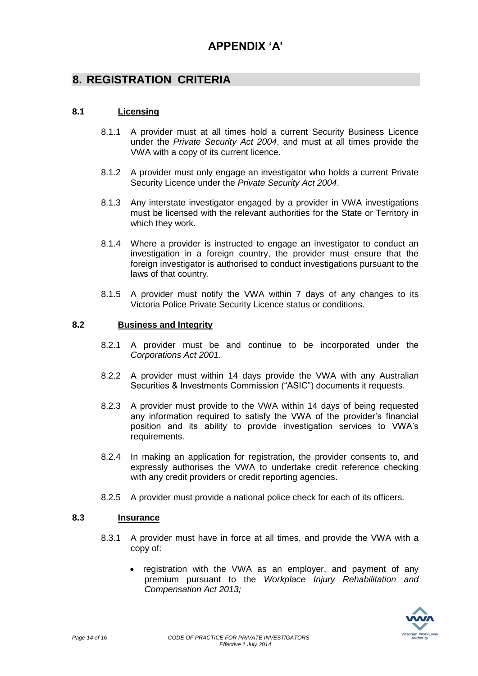# **8. REGISTRATION CRITERIA**

## **8.1 Licensing**

- 8.1.1 A provider must at all times hold a current Security Business Licence under the *Private Security Act 2004*, and must at all times provide the VWA with a copy of its current licence.
- 8.1.2 A provider must only engage an investigator who holds a current Private Security Licence under the *Private Security Act 2004*.
- 8.1.3 Any interstate investigator engaged by a provider in VWA investigations must be licensed with the relevant authorities for the State or Territory in which they work.
- 8.1.4 Where a provider is instructed to engage an investigator to conduct an investigation in a foreign country, the provider must ensure that the foreign investigator is authorised to conduct investigations pursuant to the laws of that country.
- 8.1.5 A provider must notify the VWA within 7 days of any changes to its Victoria Police Private Security Licence status or conditions.

## **8.2 Business and Integrity**

- 8.2.1 A provider must be and continue to be incorporated under the *Corporations Act 2001*.
- 8.2.2 A provider must within 14 days provide the VWA with any Australian Securities & Investments Commission ("ASIC") documents it requests.
- 8.2.3 A provider must provide to the VWA within 14 days of being requested any information required to satisfy the VWA of the provider's financial position and its ability to provide investigation services to VWA's requirements.
- 8.2.4 In making an application for registration, the provider consents to, and expressly authorises the VWA to undertake credit reference checking with any credit providers or credit reporting agencies.
- 8.2.5 A provider must provide a national police check for each of its officers.

## **8.3 Insurance**

- 8.3.1 A provider must have in force at all times, and provide the VWA with a copy of:
	- registration with the VWA as an employer, and payment of any premium pursuant to the *Workplace Injury Rehabilitation and Compensation Act 2013;*

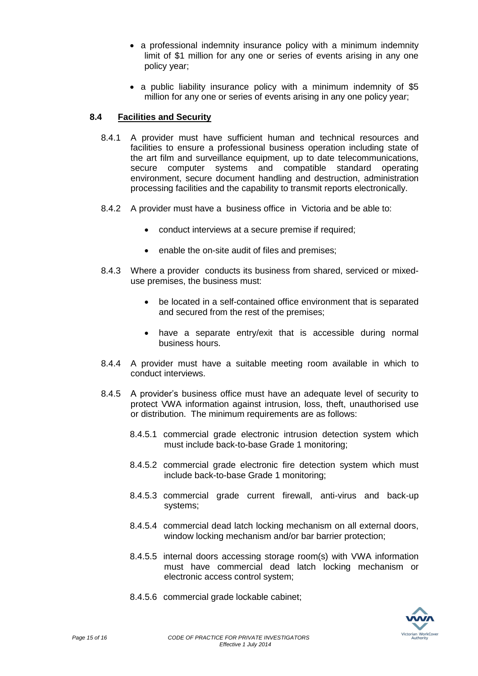- a professional indemnity insurance policy with a minimum indemnity limit of \$1 million for any one or series of events arising in any one policy year;
- a public liability insurance policy with a minimum indemnity of \$5 million for any one or series of events arising in any one policy year;

## **8.4 Facilities and Security**

- 8.4.1 A provider must have sufficient human and technical resources and facilities to ensure a professional business operation including state of the art film and surveillance equipment, up to date telecommunications, secure computer systems and compatible standard operating environment, secure document handling and destruction, administration processing facilities and the capability to transmit reports electronically.
- 8.4.2 A provider must have a business office in Victoria and be able to:
	- conduct interviews at a secure premise if required;
	- enable the on-site audit of files and premises;
- 8.4.3 Where a provider conducts its business from shared, serviced or mixeduse premises, the business must:
	- be located in a self-contained office environment that is separated and secured from the rest of the premises;
	- have a separate entry/exit that is accessible during normal business hours.
- 8.4.4 A provider must have a suitable meeting room available in which to conduct interviews.
- 8.4.5 A provider's business office must have an adequate level of security to protect VWA information against intrusion, loss, theft, unauthorised use or distribution. The minimum requirements are as follows:
	- 8.4.5.1 commercial grade electronic intrusion detection system which must include back-to-base Grade 1 monitoring;
	- 8.4.5.2 commercial grade electronic fire detection system which must include back-to-base Grade 1 monitoring;
	- 8.4.5.3 commercial grade current firewall, anti-virus and back-up systems;
	- 8.4.5.4 commercial dead latch locking mechanism on all external doors, window locking mechanism and/or bar barrier protection;
	- 8.4.5.5 internal doors accessing storage room(s) with VWA information must have commercial dead latch locking mechanism or electronic access control system;
	- 8.4.5.6 commercial grade lockable cabinet;